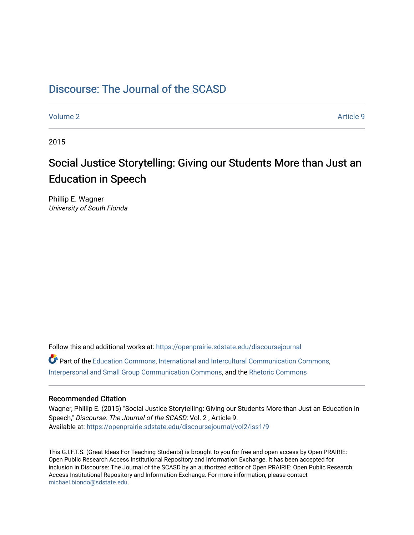# [Discourse: The Journal of the SCASD](https://openprairie.sdstate.edu/discoursejournal)

[Volume 2](https://openprairie.sdstate.edu/discoursejournal/vol2) Article 9

2015

# Social Justice Storytelling: Giving our Students More than Just an Education in Speech

Phillip E. Wagner University of South Florida

Follow this and additional works at: [https://openprairie.sdstate.edu/discoursejournal](https://openprairie.sdstate.edu/discoursejournal?utm_source=openprairie.sdstate.edu%2Fdiscoursejournal%2Fvol2%2Fiss1%2F9&utm_medium=PDF&utm_campaign=PDFCoverPages)  Part of the [Education Commons](http://network.bepress.com/hgg/discipline/784?utm_source=openprairie.sdstate.edu%2Fdiscoursejournal%2Fvol2%2Fiss1%2F9&utm_medium=PDF&utm_campaign=PDFCoverPages), [International and Intercultural Communication Commons](http://network.bepress.com/hgg/discipline/331?utm_source=openprairie.sdstate.edu%2Fdiscoursejournal%2Fvol2%2Fiss1%2F9&utm_medium=PDF&utm_campaign=PDFCoverPages), [Interpersonal and Small Group Communication Commons,](http://network.bepress.com/hgg/discipline/332?utm_source=openprairie.sdstate.edu%2Fdiscoursejournal%2Fvol2%2Fiss1%2F9&utm_medium=PDF&utm_campaign=PDFCoverPages) and the [Rhetoric Commons](http://network.bepress.com/hgg/discipline/575?utm_source=openprairie.sdstate.edu%2Fdiscoursejournal%2Fvol2%2Fiss1%2F9&utm_medium=PDF&utm_campaign=PDFCoverPages) 

#### Recommended Citation

Wagner, Phillip E. (2015) "Social Justice Storytelling: Giving our Students More than Just an Education in Speech," Discourse: The Journal of the SCASD: Vol. 2 , Article 9. Available at: [https://openprairie.sdstate.edu/discoursejournal/vol2/iss1/9](https://openprairie.sdstate.edu/discoursejournal/vol2/iss1/9?utm_source=openprairie.sdstate.edu%2Fdiscoursejournal%2Fvol2%2Fiss1%2F9&utm_medium=PDF&utm_campaign=PDFCoverPages)

This G.I.F.T.S. (Great Ideas For Teaching Students) is brought to you for free and open access by Open PRAIRIE: Open Public Research Access Institutional Repository and Information Exchange. It has been accepted for inclusion in Discourse: The Journal of the SCASD by an authorized editor of Open PRAIRIE: Open Public Research Access Institutional Repository and Information Exchange. For more information, please contact [michael.biondo@sdstate.edu.](mailto:michael.biondo@sdstate.edu)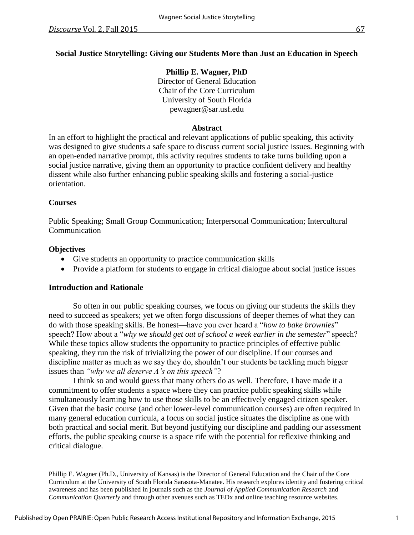# **Social Justice Storytelling: Giving our Students More than Just an Education in Speech**

**Phillip E. Wagner, PhD** Director of General Education Chair of the Core Curriculum University of South Florida pewagner@sar.usf.edu

## **Abstract**

In an effort to highlight the practical and relevant applications of public speaking, this activity was designed to give students a safe space to discuss current social justice issues. Beginning with an open-ended narrative prompt, this activity requires students to take turns building upon a social justice narrative, giving them an opportunity to practice confident delivery and healthy dissent while also further enhancing public speaking skills and fostering a social-justice orientation.

## **Courses**

Public Speaking; Small Group Communication; Interpersonal Communication; Intercultural Communication

# **Objectives**

- Give students an opportunity to practice communication skills
- Provide a platform for students to engage in critical dialogue about social justice issues

#### **Introduction and Rationale**

So often in our public speaking courses, we focus on giving our students the skills they need to succeed as speakers; yet we often forgo discussions of deeper themes of what they can do with those speaking skills. Be honest—have you ever heard a "*how to bake brownies*" speech? How about a "*why we should get out of school a week earlier in the semester*" speech? While these topics allow students the opportunity to practice principles of effective public speaking, they run the risk of trivializing the power of our discipline. If our courses and discipline matter as much as we say they do, shouldn't our students be tackling much bigger issues than *"why we all deserve A's on this speech"*?

I think so and would guess that many others do as well. Therefore, I have made it a commitment to offer students a space where they can practice public speaking skills while simultaneously learning how to use those skills to be an effectively engaged citizen speaker. Given that the basic course (and other lower-level communication courses) are often required in many general education curricula, a focus on social justice situates the discipline as one with both practical and social merit. But beyond justifying our discipline and padding our assessment efforts, the public speaking course is a space rife with the potential for reflexive thinking and critical dialogue.

Phillip E. Wagner (Ph.D., University of Kansas) is the Director of General Education and the Chair of the Core Curriculum at the University of South Florida Sarasota-Manatee. His research explores identity and fostering critical awareness and has been published in journals such as the *Journal of Applied Communication Research* and *Communication Quarterly* and through other avenues such as TEDx and online teaching resource websites.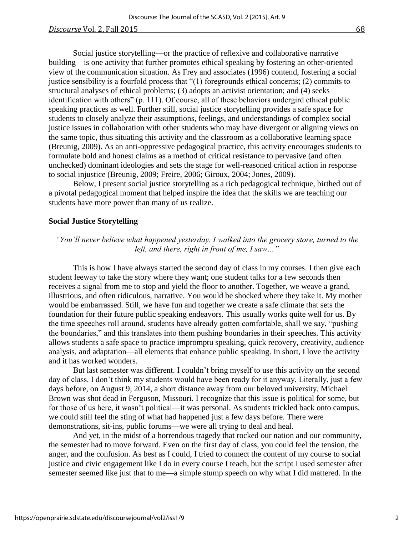#### **Discourse** Vol. 2, Fall 2015 68

Social justice storytelling—or the practice of reflexive and collaborative narrative building—is one activity that further promotes ethical speaking by fostering an other-oriented view of the communication situation. As Frey and associates (1996) contend, fostering a social justice sensibility is a fourfold process that "(1) foregrounds ethical concerns; (2) commits to structural analyses of ethical problems; (3) adopts an activist orientation; and (4) seeks identification with others" (p. 111). Of course, all of these behaviors undergird ethical public speaking practices as well. Further still, social justice storytelling provides a safe space for students to closely analyze their assumptions, feelings, and understandings of complex social justice issues in collaboration with other students who may have divergent or aligning views on the same topic, thus situating this activity and the classroom as a collaborative learning space (Breunig, 2009). As an anti-oppressive pedagogical practice, this activity encourages students to formulate bold and honest claims as a method of critical resistance to pervasive (and often unchecked) dominant ideologies and sets the stage for well-reasoned critical action in response to social injustice (Breunig, 2009; Freire, 2006; Giroux, 2004; Jones, 2009).

Below, I present social justice storytelling as a rich pedagogical technique, birthed out of a pivotal pedagogical moment that helped inspire the idea that the skills we are teaching our students have more power than many of us realize.

#### **Social Justice Storytelling**

# *"You'll never believe what happened yesterday. I walked into the grocery store, turned to the left, and there, right in front of me, I saw…"*

This is how I have always started the second day of class in my courses. I then give each student leeway to take the story where they want; one student talks for a few seconds then receives a signal from me to stop and yield the floor to another. Together, we weave a grand, illustrious, and often ridiculous, narrative. You would be shocked where they take it. My mother would be embarrassed. Still, we have fun and together we create a safe climate that sets the foundation for their future public speaking endeavors*.* This usually works quite well for us. By the time speeches roll around, students have already gotten comfortable, shall we say, "pushing the boundaries," and this translates into them pushing boundaries in their speeches. This activity allows students a safe space to practice impromptu speaking, quick recovery, creativity, audience analysis, and adaptation—all elements that enhance public speaking. In short, I love the activity and it has worked wonders.

But last semester was different. I couldn't bring myself to use this activity on the second day of class. I don't think my students would have been ready for it anyway. Literally, just a few days before, on August 9, 2014, a short distance away from our beloved university, Michael Brown was shot dead in Ferguson, Missouri. I recognize that this issue is political for some, but for those of us here, it wasn't political—it was personal. As students trickled back onto campus, we could still feel the sting of what had happened just a few days before. There were demonstrations, sit-ins, public forums—we were all trying to deal and heal.

And yet, in the midst of a horrendous tragedy that rocked our nation and our community, the semester had to move forward. Even on the first day of class, you could feel the tension, the anger, and the confusion. As best as I could, I tried to connect the content of my course to social justice and civic engagement like I do in every course I teach, but the script I used semester after semester seemed like just that to me—a simple stump speech on why what I did mattered. In the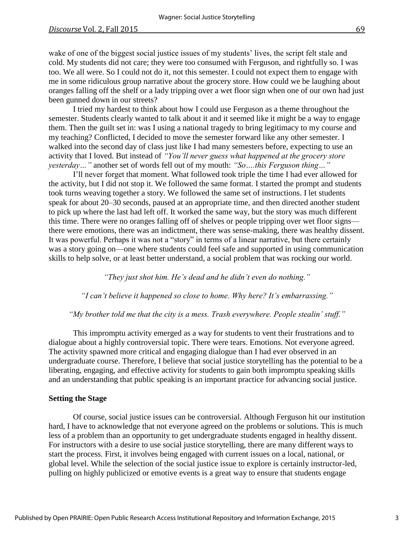wake of one of the biggest social justice issues of my students' lives, the script felt stale and cold. My students did not care; they were too consumed with Ferguson, and rightfully so. I was too. We all were. So I could not do it, not this semester. I could not expect them to engage with me in some ridiculous group narrative about the grocery store. How could we be laughing about oranges falling off the shelf or a lady tripping over a wet floor sign when one of our own had just been gunned down in our streets?

I tried my hardest to think about how I could use Ferguson as a theme throughout the semester. Students clearly wanted to talk about it and it seemed like it might be a way to engage them. Then the guilt set in: was I using a national tragedy to bring legitimacy to my course and my teaching? Conflicted, I decided to move the semester forward like any other semester. I walked into the second day of class just like I had many semesters before, expecting to use an activity that I loved. But instead of *"You'll never guess what happened at the grocery store yesterday…"* another set of words fell out of my mouth: *"So….this Ferguson thing…"*

I'll never forget that moment. What followed took triple the time I had ever allowed for the activity, but I did not stop it. We followed the same format. I started the prompt and students took turns weaving together a story. We followed the same set of instructions. I let students speak for about 20–30 seconds, paused at an appropriate time, and then directed another student to pick up where the last had left off. It worked the same way, but the story was much different this time. There were no oranges falling off of shelves or people tripping over wet floor signs there were emotions, there was an indictment, there was sense-making, there was healthy dissent. It was powerful. Perhaps it was not a "story" in terms of a linear narrative, but there certainly was a story going on—one where students could feel safe and supported in using communication skills to help solve, or at least better understand, a social problem that was rocking our world.

*"They just shot him. He's dead and he didn't even do nothing."*

*"I can't believe it happened so close to home. Why here? It's embarrassing."*

#### *"My brother told me that the city is a mess. Trash everywhere. People stealin' stuff."*

This impromptu activity emerged as a way for students to vent their frustrations and to dialogue about a highly controversial topic. There were tears. Emotions. Not everyone agreed. The activity spawned more critical and engaging dialogue than I had ever observed in an undergraduate course. Therefore, I believe that social justice storytelling has the potential to be a liberating, engaging, and effective activity for students to gain both impromptu speaking skills and an understanding that public speaking is an important practice for advancing social justice.

# **Setting the Stage**

Of course, social justice issues can be controversial. Although Ferguson hit our institution hard, I have to acknowledge that not everyone agreed on the problems or solutions. This is much less of a problem than an opportunity to get undergraduate students engaged in healthy dissent. For instructors with a desire to use social justice storytelling, there are many different ways to start the process. First, it involves being engaged with current issues on a local, national, or global level. While the selection of the social justice issue to explore is certainly instructor-led, pulling on highly publicized or emotive events is a great way to ensure that students engage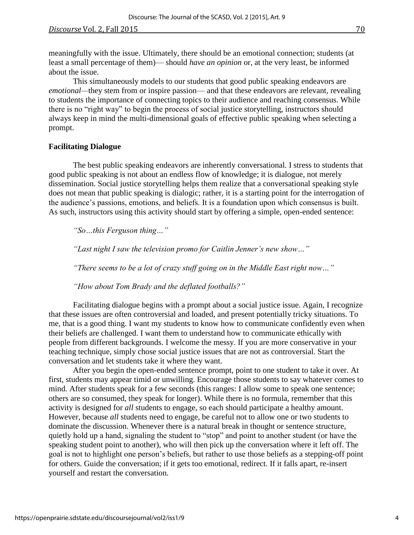meaningfully with the issue. Ultimately, there should be an emotional connection; students (at least a small percentage of them)— should *have an opinion* or, at the very least, be informed about the issue.

This simultaneously models to our students that good public speaking endeavors are *emotional—*they stem from or inspire passion— and that these endeavors are relevant, revealing to students the importance of connecting topics to their audience and reaching consensus. While there is no "right way" to begin the process of social justice storytelling, instructors should always keep in mind the multi-dimensional goals of effective public speaking when selecting a prompt.

#### **Facilitating Dialogue**

The best public speaking endeavors are inherently conversational. I stress to students that good public speaking is not about an endless flow of knowledge; it is dialogue, not merely dissemination. Social justice storytelling helps them realize that a conversational speaking style does not mean that public speaking is dialogic; rather, it is a starting point for the interrogation of the audience's passions, emotions, and beliefs. It is a foundation upon which consensus is built. As such, instructors using this activity should start by offering a simple, open-ended sentence:

*"So…this Ferguson thing…"*

*"Last night I saw the television promo for Caitlin Jenner's new show…"*

*"There seems to be a lot of crazy stuff going on in the Middle East right now…"*

*"How about Tom Brady and the deflated footballs?"*

Facilitating dialogue begins with a prompt about a social justice issue. Again, I recognize that these issues are often controversial and loaded, and present potentially tricky situations. To me, that is a good thing. I want my students to know how to communicate confidently even when their beliefs are challenged. I want them to understand how to communicate ethically with people from different backgrounds. I welcome the messy. If you are more conservative in your teaching technique, simply chose social justice issues that are not as controversial. Start the conversation and let students take it where they want.

After you begin the open-ended sentence prompt, point to one student to take it over. At first, students may appear timid or unwilling. Encourage those students to say whatever comes to mind. After students speak for a few seconds (this ranges: I allow some to speak one sentence; others are so consumed, they speak for longer). While there is no formula, remember that this activity is designed for *all* students to engage, so each should participate a healthy amount. However, because *all* students need to engage, be careful not to allow one or two students to dominate the discussion. Whenever there is a natural break in thought or sentence structure, quietly hold up a hand, signaling the student to "stop" and point to another student (or have the speaking student point to another), who will then pick up the conversation where it left off. The goal is not to highlight one person's beliefs, but rather to use those beliefs as a stepping-off point for others. Guide the conversation; if it gets too emotional, redirect. If it falls apart, re-insert yourself and restart the conversation.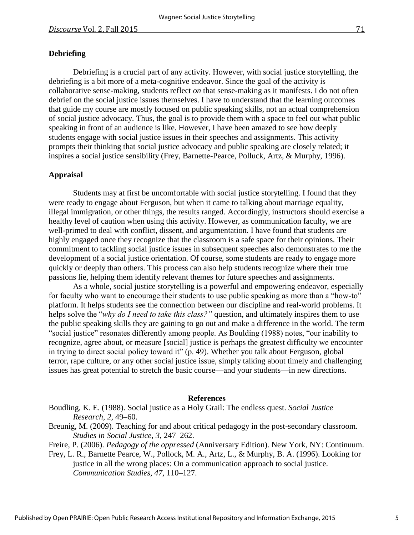#### **Debriefing**

Debriefing is a crucial part of any activity. However, with social justice storytelling, the debriefing is a bit more of a meta-cognitive endeavor. Since the goal of the activity is collaborative sense-making, students reflect *on* that sense-making as it manifests. I do not often debrief on the social justice issues themselves. I have to understand that the learning outcomes that guide my course are mostly focused on public speaking skills, not an actual comprehension of social justice advocacy. Thus, the goal is to provide them with a space to feel out what public speaking in front of an audience is like. However, I have been amazed to see how deeply students engage with social justice issues in their speeches and assignments. This activity prompts their thinking that social justice advocacy and public speaking are closely related; it inspires a social justice sensibility (Frey, Barnette-Pearce, Polluck, Artz, & Murphy, 1996).

#### **Appraisal**

Students may at first be uncomfortable with social justice storytelling. I found that they were ready to engage about Ferguson, but when it came to talking about marriage equality, illegal immigration, or other things, the results ranged. Accordingly, instructors should exercise a healthy level of caution when using this activity. However, as communication faculty, we are well-primed to deal with conflict, dissent, and argumentation. I have found that students are highly engaged once they recognize that the classroom is a safe space for their opinions. Their commitment to tackling social justice issues in subsequent speeches also demonstrates to me the development of a social justice orientation. Of course, some students are ready to engage more quickly or deeply than others. This process can also help students recognize where their true passions lie, helping them identify relevant themes for future speeches and assignments.

As a whole, social justice storytelling is a powerful and empowering endeavor, especially for faculty who want to encourage their students to use public speaking as more than a "how-to" platform. It helps students see the connection between our discipline and real-world problems. It helps solve the "*why do I need to take this class?"* question, and ultimately inspires them to use the public speaking skills they are gaining to go out and make a difference in the world. The term "social justice" resonates differently among people. As Boulding (1988) notes, "our inability to recognize, agree about, or measure [social] justice is perhaps the greatest difficulty we encounter in trying to direct social policy toward it" (p. 49). Whether you talk about Ferguson, global terror, rape culture, or any other social justice issue, simply talking about timely and challenging issues has great potential to stretch the basic course—and your students—in new directions.

#### **References**

Boudling, K. E. (1988). Social justice as a Holy Grail: The endless quest. *Social Justice Research, 2,* 49–60.

Breunig, M. (2009). Teaching for and about critical pedagogy in the post-secondary classroom. *Studies in Social Justice, 3,* 247–262.

Freire, P. (2006). *Pedagogy of the oppressed* (Anniversary Edition). New York, NY: Continuum.

Frey, L. R., Barnette Pearce, W., Pollock, M. A., Artz, L., & Murphy, B. A. (1996). Looking for justice in all the wrong places: On a communication approach to social justice. *Communication Studies, 47,* 110–127.